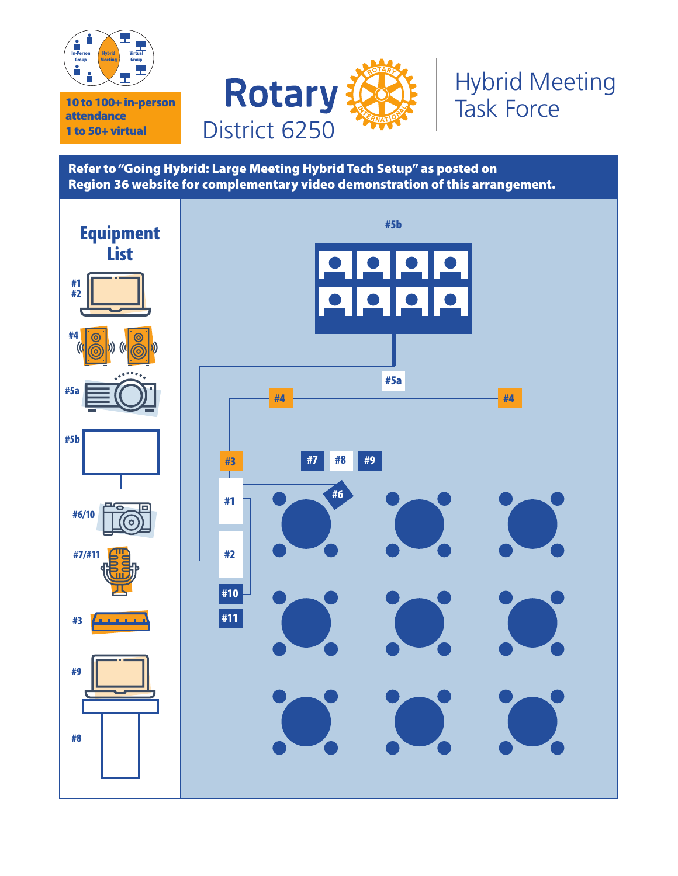



### Hybrid Meeting Task Force

Refer to "Going Hybrid: Large Meeting Hybrid Tech Setup" as posted on Region 36 website for complementary video demonstration of this arrangement.